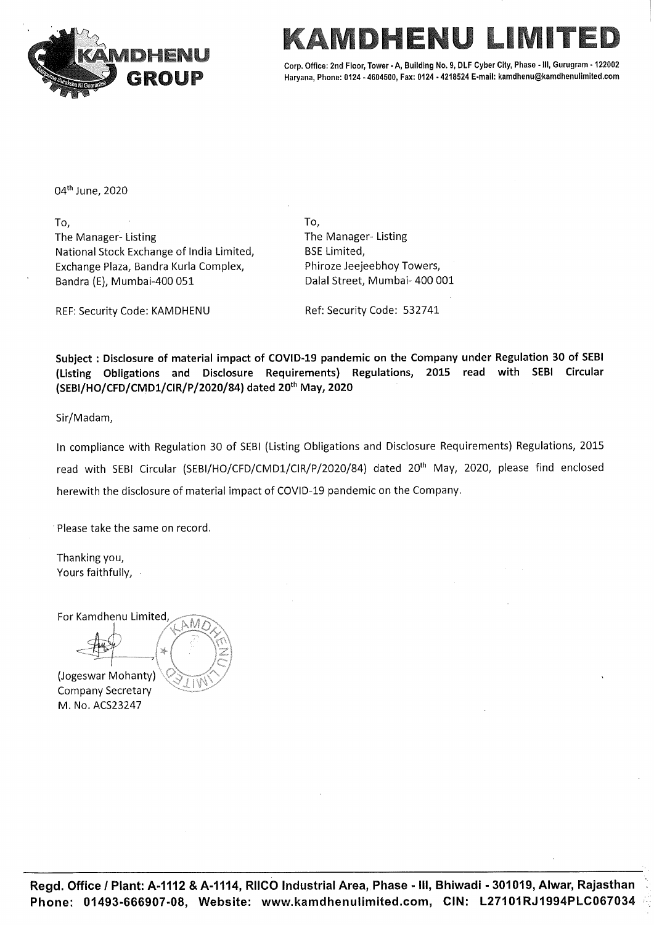



Corp. Office: 2nd Floor, Tower - A, Building No. 9, DLF Cyber City, Phase - Ill, Gurugram - 122002 Haryana, Phone: 0124 - 4604500, Fax: 0124 - 4218524 E-mail: kamdhenu@kamdhenulimited.com

04" june, 2020

 $\Box$  To,  $\Box$  To,  $\Box$  To,  $\Box$ The Manager- Listing The Manager- Listing National Stock Exchange of India Limited, BSE Limited, Exchange Plaza, Bandra Kurla Complex, Phiroze Jeejeebhoy Towers, Bandra (E), Mumbai-400 051 Dalal Street, Mumbai-400 001

REF: Security Code: KAMDHENU Ref: Security Code: 532741

Subject : Disclosure of material impact of COVID-19 pandemic on the Company under Regulation 30 of SEBI (Listing Obligations and Disclosure Requirements) Regulations, 2015 read with SEBI Circular (SEBI/HO/CFD/CMD1/CIR/P/2020/84) dated 20" May, 2020

Sir/Madam,

In compliance with Regulation 30 of SEBI (Listing Obligations and Disclosure Requirements) Regulations, 2015 read with SEBI Circular (SEBI/HO/CFD/CMD1/CIR/P/2020/84) dated 20<sup>th</sup> May, 2020, please find enclosed herewith the disclosure of material impact of COVID-19 pandemic on the Company. Exchange Plaza, Bandra Kurla Complex,<br>
Bandra (E), Mumbai-400 051 Dalal<br>
REF: Security Code: KAMDHENU Ref: S<br>
Subject : Disclosure of material impact of CVID-19 pa<br>
(Listing Obligations and Disclosure Requirement:<br>
(SEBI/

'Please take the same on record.

Thanking you, Yours faithfully, -

For Kamdhenu Limited<br>
(Jogeswar Mohanty)

Company Secretary M. No. ACS23247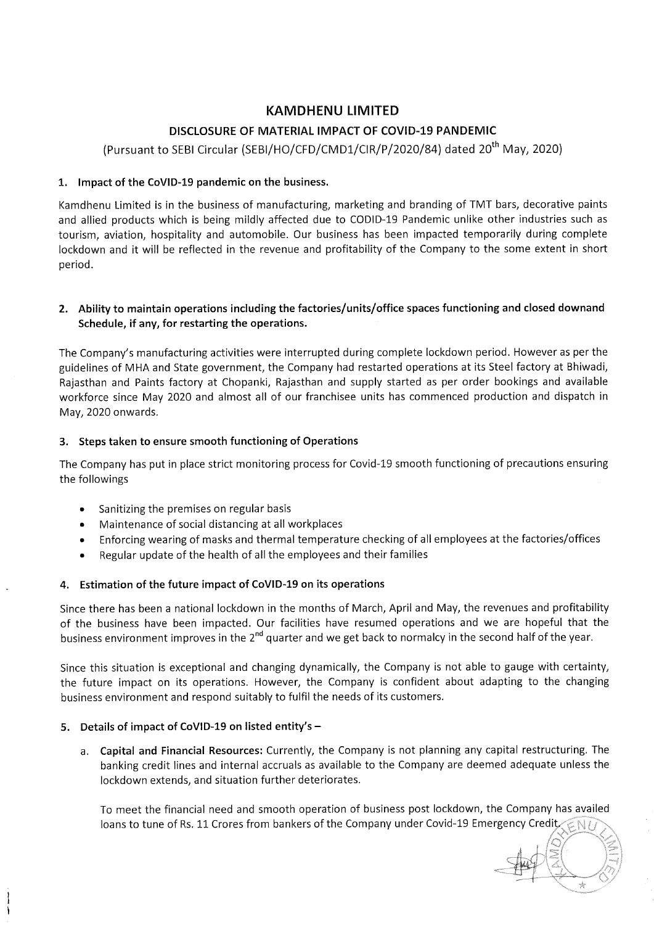# KAMDHENU LIMITED

# DISCLOSURE OF MATERIAL IMPACT OF COVID-19 PANDEMIC

(Pursuant to SEBI Circular (SEBI/HO/CFD/CMD1/CIR/P/2020/84) dated 20" May, 2020)

# 1. Impact of the CoVID-19 pandemic on the business.

Kamdhenu Limited is in the business of manufacturing, marketing and branding of TMT bars, decorative paints and allied products which is being mildly affected due to CODID-19 Pandemic unlike other industries such as tourism, aviation, hospitality and automobile. Our business has been impacted temporarily during complete lockdown and it will be reflected in the revenue and profitability of the Company to the some extent in short period. **EXAMDEENU LIMITED**<br>
SPACE TO COLUMN OF BATTERIAL IMPACT OF COUD-19 PANDEMIC<br>
SPACE TO COLUMN TO COLUMN (FOUND COLUMN) (2002)<br>
SPACE TO COLUMN TO COLUMN (FOUND COLUMN) (2002)<br>
A LOOD COLUMN TO REPORT OF THE MANAGEMENT OF

#### 2. Ability to maintain operations including the factories/units/office spaces functioning and closed downand Schedule, if any, for restarting the operations.

The Company's manufacturing activities were interrupted during complete lockdown period. However as per the guidelines of MHA and State government, the Company had restarted operations at its Steel factory at Bhiwadi, Rajasthan and Paints factory at Chopanki, Rajasthan and supply started as per order bookings and available workforce since May 2020 and almost all of our franchisee units has commenced production and dispatch in May, 2020 onwards.

#### 3. Steps taken to ensure smooth functioning of Operations

The Company has put in place strict monitoring process for Covid-19 smooth functioning of precautions ensuring the followings

- e Sanitizing the premises on regular basis
- e Maintenance of social distancing at all workplaces
- e Enforcing wearing of masks and thermal temperature checking of all employees at the factories/offices
- e Regular update of the health of all the employees and their families

# 4. Estimation of the future impact of CoVID-19 on its operations

Since there has been a national lockdown in the months of March, April and May, the revenues and profitability of the business have been impacted. Our facilities have resumed operations and we are hopeful that the business environment improves in the 2<sup>nd</sup> quarter and we get back to normalcy in the second half of the year.

Since this situation is exceptional and changing dynamically, the Company is not able to gauge with certainty, the future impact on its operations. However, the Company is confident about adapting to the changing business environment and respond suitably to fulfil the needs of its customers.

# 5. Details of impact of CoVID-19 on listed entity's —

a. Capital and Financial Resources: Currently, the Company is not planning any capital restructuring. The banking credit lines and internal accruals as available to the Company are deemed adequate unless the lockdown extends, and situation further deteriorates.